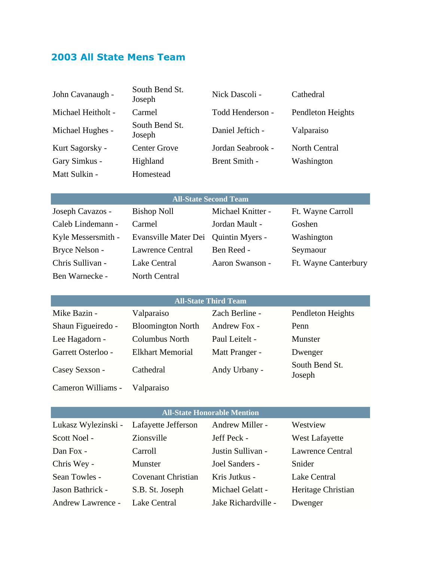# **2003 All State Mens Team**

| John Cavanaugh -    | South Bend St.<br>Joseph | Nick Dascoli -                     | Cathedral                |
|---------------------|--------------------------|------------------------------------|--------------------------|
| Michael Heitholt -  | Carmel                   | Todd Henderson -                   | Pendleton Heights        |
| Michael Hughes -    | South Bend St.<br>Joseph | Daniel Jeftich -                   | Valparaiso               |
| Kurt Sagorsky -     | <b>Center Grove</b>      | Jordan Seabrook -                  | North Central            |
| Gary Simkus -       | Highland                 | Brent Smith -                      | Washington               |
| Matt Sulkin -       | Homestead                |                                    |                          |
|                     |                          |                                    |                          |
|                     |                          | <b>All-State Second Team</b>       |                          |
| Joseph Cavazos -    | <b>Bishop Noll</b>       | Michael Knitter -                  | Ft. Wayne Carroll        |
| Caleb Lindemann -   | Carmel                   | Jordan Mault -                     | Goshen                   |
| Kyle Messersmith -  | Evansville Mater Dei     | Quintin Myers -                    | Washington               |
| Bryce Nelson -      | <b>Lawrence Central</b>  | Ben Reed -                         | Seymaour                 |
| Chris Sullivan -    | Lake Central             | Aaron Swanson -                    | Ft. Wayne Canterbury     |
| Ben Warnecke -      | North Central            |                                    |                          |
|                     |                          |                                    |                          |
|                     |                          | <b>All-State Third Team</b>        |                          |
| Mike Bazin -        | Valparaiso               | Zach Berline -                     | Pendleton Heights        |
|                     |                          |                                    |                          |
| Shaun Figueiredo -  | <b>Bloomington North</b> | Andrew Fox -                       | Penn                     |
| Lee Hagadorn -      | <b>Columbus North</b>    | Paul Leitelt -                     | Munster                  |
| Garrett Osterloo -  | <b>Elkhart Memorial</b>  | Matt Pranger -                     | Dwenger                  |
| Casey Sexson -      | Cathedral                | Andy Urbany -                      | South Bend St.<br>Joseph |
| Cameron Williams -  | Valparaiso               |                                    |                          |
|                     |                          |                                    |                          |
|                     |                          | <b>All-State Honorable Mention</b> |                          |
| Lukasz Wylezinski - | Lafayette Jefferson      | Andrew Miller -                    | Westview                 |
| Scott Noel -        | Zionsville               | Jeff Peck -                        | <b>West Lafayette</b>    |
| Dan Fox -           | Carroll                  | Justin Sullivan -                  | <b>Lawrence Central</b>  |
| Chris Wey -         | Munster                  | Joel Sanders -                     | Snider                   |

Jason Bathrick - S.B. St. Joseph Michael Gelatt - Heritage Christian

Andrew Lawrence - Lake Central Jake Richardville - Dwenger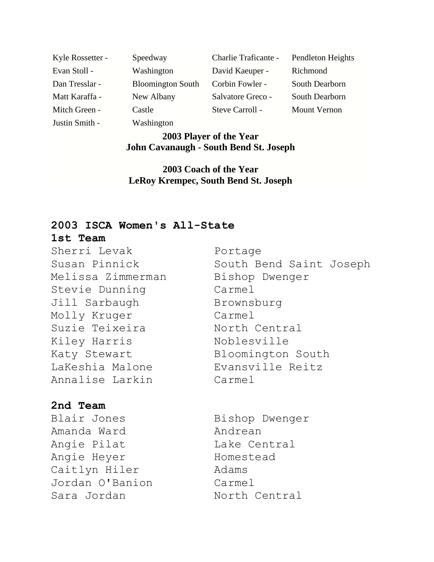Justin Smith - Washington

Kyle Rossetter - Speedway Charlie Traficante - Pendleton Heights Evan Stoll - Washington David Kaeuper - Richmond Dan Tresslar - Bloomington South Corbin Fowler - South Dearborn Matt Karaffa - New Albany Salvatore Greco - South Dearborn Mitch Green - Castle Steve Carroll - Mount Vernon

## **2003 Player of the Year John Cavanaugh - South Bend St. Joseph**

**2003 Coach of the Year LeRoy Krempec, South Bend St. Joseph**

## **2003 ISCA Women's All-State**

### **1st Team**

Sherri Levak **Portage** Melissa Zimmerman Bishop Dwenger Stevie Dunning Carmel Jill Sarbaugh Brownsburg Molly Kruger Carmel Suzie Teixeira Morth Central Kiley Harris Noblesville LaKeshia Malone Evansville Reitz Annalise Larkin Carmel

# Susan Pinnick South Bend Saint Joseph Katy Stewart Bloomington South

# **2nd Team**

Blair Jones Bishop Dwenger Amanda Ward **Andrean** Angie Pilat Lake Central Angie Heyer Homestead Caitlyn Hiler Madams Jordan O'Banion Carmel Sara Jordan North Central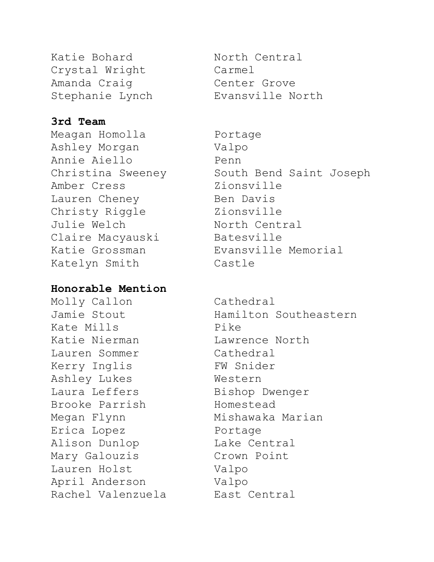Katie Bohard Morth Central Crystal Wright Carmel Amanda Craig Center Grove

# **3rd Team**

Meagan Homolla Portage Ashley Morgan Valpo Annie Aiello Penn Amber Cress Zionsville Lauren Cheney Ben Davis Christy Riggle Zionsville Julie Welch North Central Claire Macyauski<br>
Batesville Katelyn Smith Castle

## **Honorable Mention**

Molly Callon Cathedral Kate Mills **Pike** Katie Nierman Lawrence North Lauren Sommer Cathedral Kerry Inglis FW Snider Ashley Lukes Western Laura Leffers Bishop Dwenger Brooke Parrish Homestead Megan Flynn Mishawaka Marian Erica Lopez **Portage** Alison Dunlop Lake Central Mary Galouzis Crown Point Lauren Holst Valpo April Anderson Valpo Rachel Valenzuela Bast Central

Stephanie Lynch Evansville North

Christina Sweeney South Bend Saint Joseph Katie Grossman Evansville Memorial

Jamie Stout Mamilton Southeastern